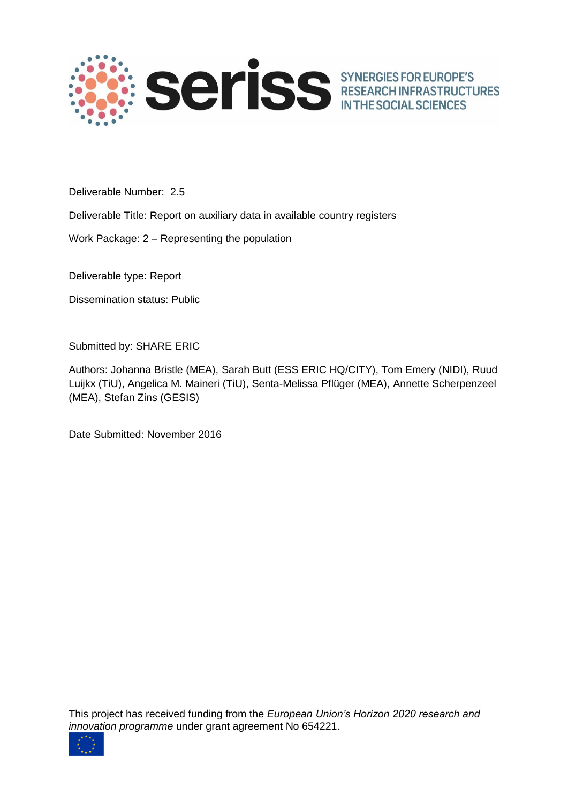

Deliverable Number: 2.5

Deliverable Title: Report on auxiliary data in available country registers

Work Package: 2 – Representing the population

Deliverable type: Report

Dissemination status: Public

Submitted by: SHARE ERIC

Authors: Johanna Bristle (MEA), Sarah Butt (ESS ERIC HQ/CITY), Tom Emery (NIDI), Ruud Luijkx (TiU), Angelica M. Maineri (TiU), Senta-Melissa Pflüger (MEA), Annette Scherpenzeel (MEA), Stefan Zins (GESIS)

Date Submitted: November 2016

This project has received funding from the *European Union's Horizon 2020 research and innovation programme* under grant agreement No 654221.

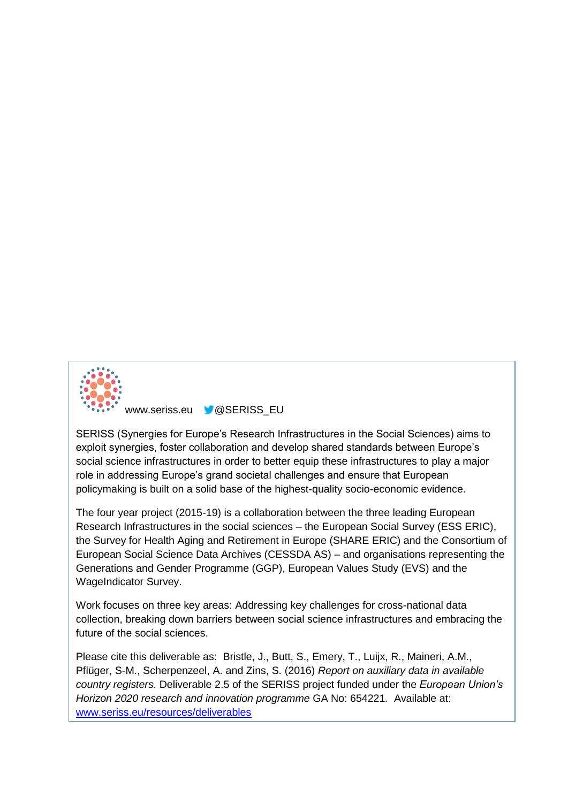

www.seriss.eu **W@SERISS\_EU** 

SERISS (Synergies for Europe's Research Infrastructures in the Social Sciences) aims to exploit synergies, foster collaboration and develop shared standards between Europe's social science infrastructures in order to better equip these infrastructures to play a major role in addressing Europe's grand societal challenges and ensure that European policymaking is built on a solid base of the highest-quality socio-economic evidence.

The four year project (2015-19) is a collaboration between the three leading European Research Infrastructures in the social sciences – the European Social Survey (ESS ERIC), the Survey for Health Aging and Retirement in Europe (SHARE ERIC) and the Consortium of European Social Science Data Archives (CESSDA AS) – and organisations representing the Generations and Gender Programme (GGP), European Values Study (EVS) and the WageIndicator Survey.

Work focuses on three key areas: Addressing key challenges for cross-national data collection, breaking down barriers between social science infrastructures and embracing the future of the social sciences.

Please cite this deliverable as: Bristle, J., Butt, S., Emery, T., Luijx, R., Maineri, A.M., Pflüger, S-M., Scherpenzeel, A. and Zins, S. (2016) *Report on auxiliary data in available country registers*. Deliverable 2.5 of the SERISS project funded under the *European Union's Horizon 2020 research and innovation programme* GA No: 654221*.* Available at: [www.seriss.eu/resources/deliverables](http://www.seriss.eu/resources/deliverables)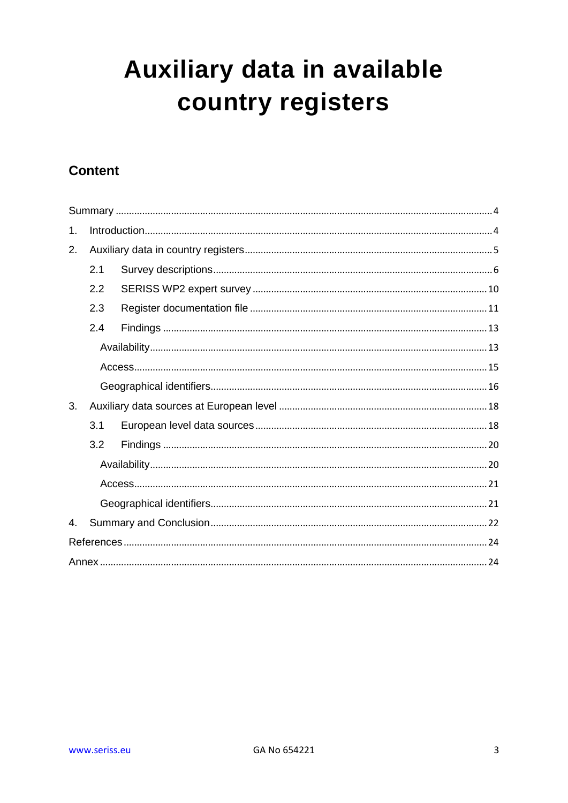# Auxiliary data in available country registers

# **Content**

| 1.             |     |  |  |  |  |
|----------------|-----|--|--|--|--|
| 2.             |     |  |  |  |  |
|                | 2.1 |  |  |  |  |
|                | 2.2 |  |  |  |  |
|                | 2.3 |  |  |  |  |
|                | 2.4 |  |  |  |  |
|                |     |  |  |  |  |
|                |     |  |  |  |  |
|                |     |  |  |  |  |
| 3.             |     |  |  |  |  |
|                | 3.1 |  |  |  |  |
|                | 3.2 |  |  |  |  |
|                |     |  |  |  |  |
|                |     |  |  |  |  |
|                |     |  |  |  |  |
| $\mathbf{4}$ . |     |  |  |  |  |
|                |     |  |  |  |  |
|                |     |  |  |  |  |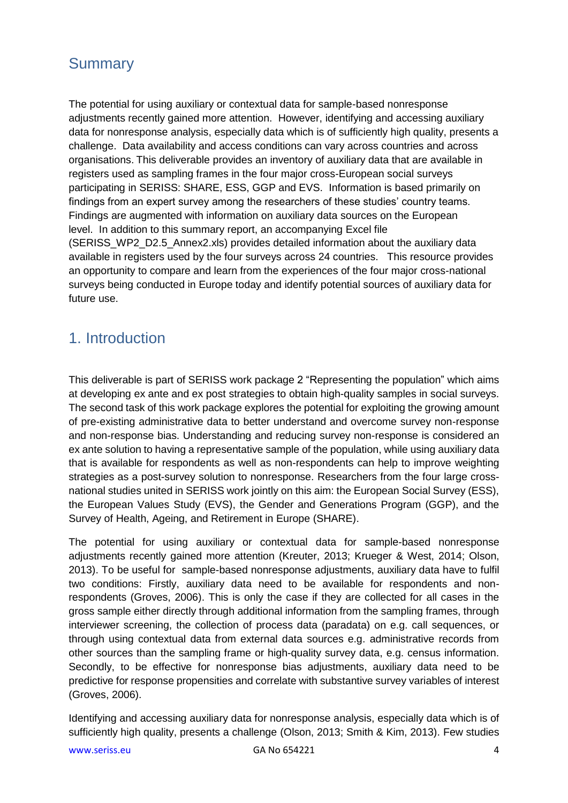# <span id="page-3-0"></span>**Summary**

The potential for using auxiliary or contextual data for sample-based nonresponse adjustments recently gained more attention. However, identifying and accessing auxiliary data for nonresponse analysis, especially data which is of sufficiently high quality, presents a challenge. Data availability and access conditions can vary across countries and across organisations. This deliverable provides an inventory of auxiliary data that are available in registers used as sampling frames in the four major cross-European social surveys participating in SERISS: SHARE, ESS, GGP and EVS. Information is based primarily on findings from an expert survey among the researchers of these studies' country teams. Findings are augmented with information on auxiliary data sources on the European level. In addition to this summary report, an accompanying Excel file (SERISS\_WP2\_D2.5\_Annex2.xls) provides detailed information about the auxiliary data available in registers used by the four surveys across 24 countries. This resource provides an opportunity to compare and learn from the experiences of the four major cross-national surveys being conducted in Europe today and identify potential sources of auxiliary data for future use.

# <span id="page-3-1"></span>1. Introduction

This deliverable is part of SERISS work package 2 "Representing the population" which aims at developing ex ante and ex post strategies to obtain high-quality samples in social surveys. The second task of this work package explores the potential for exploiting the growing amount of pre-existing administrative data to better understand and overcome survey non-response and non-response bias. Understanding and reducing survey non-response is considered an ex ante solution to having a representative sample of the population, while using auxiliary data that is available for respondents as well as non-respondents can help to improve weighting strategies as a post-survey solution to nonresponse. Researchers from the four large crossnational studies united in SERISS work jointly on this aim: the European Social Survey (ESS), the European Values Study (EVS), the Gender and Generations Program (GGP), and the Survey of Health, Ageing, and Retirement in Europe (SHARE).

The potential for using auxiliary or contextual data for sample-based nonresponse adjustments recently gained more attention [\(Kreuter, 2013;](#page-23-2) [Krueger & West, 2014;](#page-23-3) [Olson,](#page-23-4)  [2013\)](#page-23-4). To be useful for sample-based nonresponse adjustments, auxiliary data have to fulfil two conditions: Firstly, auxiliary data need to be available for respondents and nonrespondents [\(Groves, 2006\)](#page-23-5). This is only the case if they are collected for all cases in the gross sample either directly through additional information from the sampling frames, through interviewer screening, the collection of process data (paradata) on e.g. call sequences, or through using contextual data from external data sources e.g. administrative records from other sources than the sampling frame or high-quality survey data, e.g. census information. Secondly, to be effective for nonresponse bias adjustments, auxiliary data need to be predictive for response propensities and correlate with substantive survey variables of interest [\(Groves, 2006\)](#page-23-5).

Identifying and accessing auxiliary data for nonresponse analysis, especially data which is of sufficiently high quality, presents a challenge [\(Olson, 2013;](#page-23-4) [Smith & Kim, 2013\)](#page-23-6). Few studies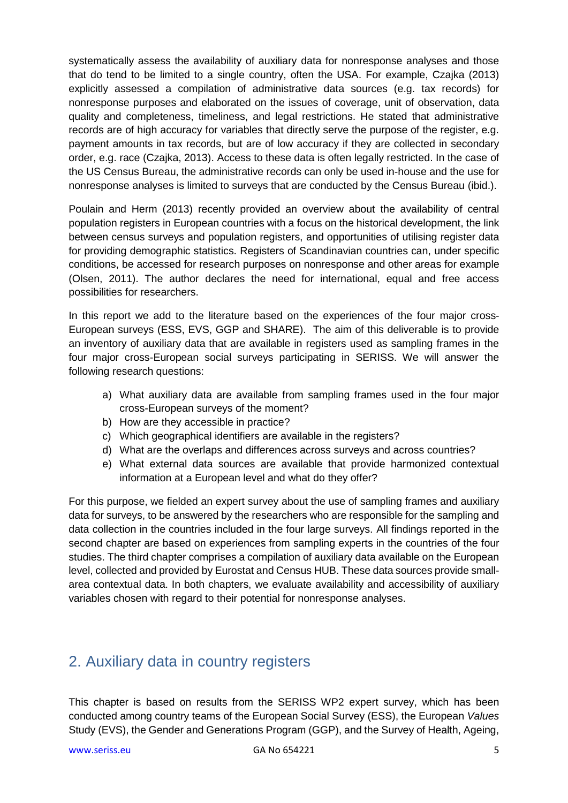systematically assess the availability of auxiliary data for nonresponse analyses and those that do tend to be limited to a single country, often the USA. For example, Czajka (2013) explicitly assessed a compilation of administrative data sources (e.g. tax records) for nonresponse purposes and elaborated on the issues of coverage, unit of observation, data quality and completeness, timeliness, and legal restrictions. He stated that administrative records are of high accuracy for variables that directly serve the purpose of the register, e.g. payment amounts in tax records, but are of low accuracy if they are collected in secondary order, e.g. race [\(Czajka, 2013\)](#page-23-7). Access to these data is often legally restricted. In the case of the US Census Bureau, the administrative records can only be used in-house and the use for nonresponse analyses is limited to surveys that are conducted by the Census Bureau (ibid.).

Poulain and Herm [\(2013\)](#page-23-8) recently provided an overview about the availability of central population registers in European countries with a focus on the historical development, the link between census surveys and population registers, and opportunities of utilising register data for providing demographic statistics. Registers of Scandinavian countries can, under specific conditions, be accessed for research purposes on nonresponse and other areas for example [\(Olsen, 2011\)](#page-23-9). The author declares the need for international, equal and free access possibilities for researchers.

In this report we add to the literature based on the experiences of the four major cross-European surveys (ESS, EVS, GGP and SHARE). The aim of this deliverable is to provide an inventory of auxiliary data that are available in registers used as sampling frames in the four major cross-European social surveys participating in SERISS. We will answer the following research questions:

- a) What auxiliary data are available from sampling frames used in the four major cross-European surveys of the moment?
- b) How are they accessible in practice?
- c) Which geographical identifiers are available in the registers?
- d) What are the overlaps and differences across surveys and across countries?
- e) What external data sources are available that provide harmonized contextual information at a European level and what do they offer?

For this purpose, we fielded an expert survey about the use of sampling frames and auxiliary data for surveys, to be answered by the researchers who are responsible for the sampling and data collection in the countries included in the four large surveys. All findings reported in the second chapter are based on experiences from sampling experts in the countries of the four studies. The third chapter comprises a compilation of auxiliary data available on the European level, collected and provided by Eurostat and Census HUB. These data sources provide smallarea contextual data. In both chapters, we evaluate availability and accessibility of auxiliary variables chosen with regard to their potential for nonresponse analyses.

# <span id="page-4-0"></span>2. Auxiliary data in country registers

This chapter is based on results from the SERISS WP2 expert survey, which has been conducted among country teams of the European Social Survey (ESS), the European *Values* Study (EVS), the Gender and Generations Program (GGP), and the Survey of Health, Ageing,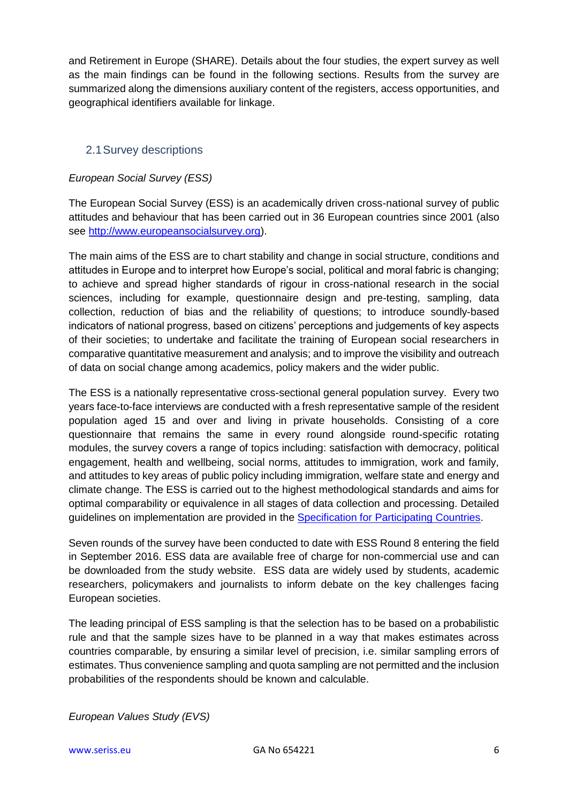and Retirement in Europe (SHARE). Details about the four studies, the expert survey as well as the main findings can be found in the following sections. Results from the survey are summarized along the dimensions auxiliary content of the registers, access opportunities, and geographical identifiers available for linkage.

# <span id="page-5-0"></span>2.1Survey descriptions

### *European Social Survey (ESS)*

The European Social Survey (ESS) is an academically driven cross-national survey of public attitudes and behaviour that has been carried out in 36 European countries since 2001 (also see [http://www.europeansocialsurvey.org\)](http://www.europeansocialsurvey.org/).

The main aims of the ESS are to chart stability and change in social structure, conditions and attitudes in Europe and to interpret how Europe's social, political and moral fabric is changing; to achieve and spread higher standards of rigour in cross-national research in the social sciences, including for example, questionnaire design and pre-testing, sampling, data collection, reduction of bias and the reliability of questions; to introduce soundly-based indicators of national progress, based on citizens' perceptions and judgements of key aspects of their societies; to undertake and facilitate the training of European social researchers in comparative quantitative measurement and analysis; and to improve the visibility and outreach of data on social change among academics, policy makers and the wider public.

The ESS is a nationally representative cross-sectional general population survey. Every two years face-to-face interviews are conducted with a fresh representative sample of the resident population aged 15 and over and living in private households. Consisting of a core questionnaire that remains the same in every round alongside round-specific rotating modules, the survey covers a range of topics including: satisfaction with democracy, political engagement, health and wellbeing, social norms, attitudes to immigration, work and family, and attitudes to key areas of public policy including immigration, welfare state and energy and climate change. The ESS is carried out to the highest methodological standards and aims for optimal comparability or equivalence in all stages of data collection and processing. Detailed guidelines on implementation are provided in the [Specification for Participating Countries.](file://///shares0/ss-ess/ESS/Specifications%20&%20participation/R8/Final%20Versions/ESS%20ERIC%20Specifications%20Round%208%20final.pdf)

Seven rounds of the survey have been conducted to date with ESS Round 8 entering the field in September 2016. ESS data are available free of charge for non-commercial use and can be downloaded from the study website. ESS data are widely used by students, academic researchers, policymakers and journalists to inform debate on the key challenges facing European societies.

The leading principal of ESS sampling is that the selection has to be based on a probabilistic rule and that the sample sizes have to be planned in a way that makes estimates across countries comparable, by ensuring a similar level of precision, i.e. similar sampling errors of estimates. Thus convenience sampling and quota sampling are not permitted and the inclusion probabilities of the respondents should be known and calculable.

*European Values Study (EVS)*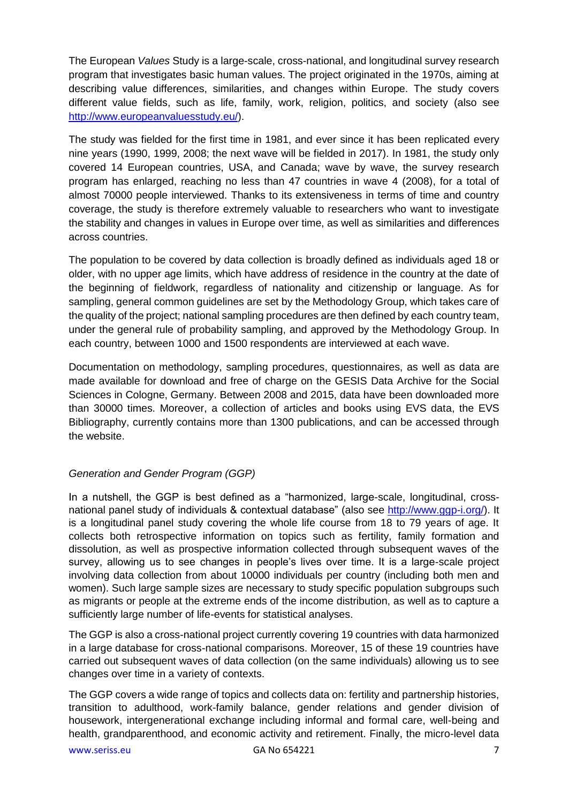The European *Values* Study is a large-scale, cross-national, and longitudinal survey research program that investigates basic human values. The project originated in the 1970s, aiming at describing value differences, similarities, and changes within Europe. The study covers different value fields, such as life, family, work, religion, politics, and society (also see [http://www.europeanvaluesstudy.eu/\)](http://www.europeanvaluesstudy.eu/).

The study was fielded for the first time in 1981, and ever since it has been replicated every nine years (1990, 1999, 2008; the next wave will be fielded in 2017). In 1981, the study only covered 14 European countries, USA, and Canada; wave by wave, the survey research program has enlarged, reaching no less than 47 countries in wave 4 (2008), for a total of almost 70000 people interviewed. Thanks to its extensiveness in terms of time and country coverage, the study is therefore extremely valuable to researchers who want to investigate the stability and changes in values in Europe over time, as well as similarities and differences across countries.

The population to be covered by data collection is broadly defined as individuals aged 18 or older, with no upper age limits, which have address of residence in the country at the date of the beginning of fieldwork, regardless of nationality and citizenship or language. As for sampling, general common guidelines are set by the Methodology Group, which takes care of the quality of the project; national sampling procedures are then defined by each country team, under the general rule of probability sampling, and approved by the Methodology Group. In each country, between 1000 and 1500 respondents are interviewed at each wave.

Documentation on methodology, sampling procedures, questionnaires, as well as data are made available for download and free of charge on the GESIS Data Archive for the Social Sciences in Cologne, Germany. Between 2008 and 2015, data have been downloaded more than 30000 times. Moreover, a collection of articles and books using EVS data, the EVS Bibliography, currently contains more than 1300 publications, and can be accessed through the website.

### *Generation and Gender Program (GGP)*

In a nutshell, the GGP is best defined as a "harmonized, large-scale, longitudinal, crossnational panel study of individuals & contextual database" (also see [http://www.ggp-i.org/\)](http://www.ggp-i.org/). It is a longitudinal panel study covering the whole life course from 18 to 79 years of age. It collects both retrospective information on topics such as fertility, family formation and dissolution, as well as prospective information collected through subsequent waves of the survey, allowing us to see changes in people's lives over time. It is a large-scale project involving data collection from about 10000 individuals per country (including both men and women). Such large sample sizes are necessary to study specific population subgroups such as migrants or people at the extreme ends of the income distribution, as well as to capture a sufficiently large number of life-events for statistical analyses.

The GGP is also a cross-national project currently covering 19 countries with data harmonized in a large database for cross-national comparisons. Moreover, 15 of these 19 countries have carried out subsequent waves of data collection (on the same individuals) allowing us to see changes over time in a variety of contexts.

The GGP covers a wide range of topics and collects data on: fertility and partnership histories, transition to adulthood, work-family balance, gender relations and gender division of housework, intergenerational exchange including informal and formal care, well-being and health, grandparenthood, and economic activity and retirement. Finally, the micro-level data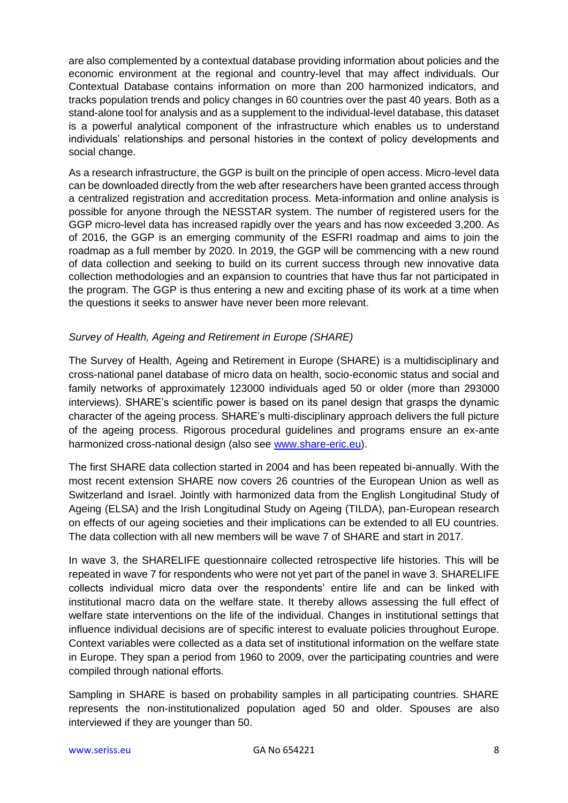are also complemented by a contextual database providing information about policies and the economic environment at the regional and country-level that may affect individuals. Our Contextual Database contains information on more than 200 harmonized indicators, and tracks population trends and policy changes in 60 countries over the past 40 years. Both as a stand-alone tool for analysis and as a supplement to the individual-level database, this dataset is a powerful analytical component of the infrastructure which enables us to understand individuals' relationships and personal histories in the context of policy developments and social change.

As a research infrastructure, the GGP is built on the principle of open access. Micro-level data can be downloaded directly from the web after researchers have been granted access through a centralized registration and accreditation process. Meta-information and online analysis is possible for anyone through the NESSTAR system. The number of registered users for the GGP micro-level data has increased rapidly over the years and has now exceeded 3,200. As of 2016, the GGP is an emerging community of the ESFRI roadmap and aims to join the roadmap as a full member by 2020. In 2019, the GGP will be commencing with a new round of data collection and seeking to build on its current success through new innovative data collection methodologies and an expansion to countries that have thus far not participated in the program. The GGP is thus entering a new and exciting phase of its work at a time when the questions it seeks to answer have never been more relevant.

### *Survey of Health, Ageing and Retirement in Europe (SHARE)*

The Survey of Health, Ageing and Retirement in Europe (SHARE) is a multidisciplinary and cross-national panel database of micro data on health, socio-economic status and social and family networks of approximately 123000 individuals aged 50 or older (more than 293000 interviews). SHARE's scientific power is based on its panel design that grasps the dynamic character of the ageing process. SHARE's multi-disciplinary approach delivers the full picture of the ageing process. Rigorous procedural guidelines and programs ensure an ex-ante harmonized cross-national design (also see [www.share-eric.eu\)](http://www.share-eric.eu/).

The first SHARE data collection started in 2004 and has been repeated bi-annually. With the most recent extension SHARE now covers 26 countries of the European Union as well as Switzerland and Israel. Jointly with harmonized data from the English Longitudinal Study of Ageing (ELSA) and the Irish Longitudinal Study on Ageing (TILDA), pan-European research on effects of our ageing societies and their implications can be extended to all EU countries. The data collection with all new members will be wave 7 of SHARE and start in 2017.

In wave 3, the SHARELIFE questionnaire collected retrospective life histories. This will be repeated in wave 7 for respondents who were not yet part of the panel in wave 3. SHARELIFE collects individual micro data over the respondents' entire life and can be linked with institutional macro data on the welfare state. It thereby allows assessing the full effect of welfare state interventions on the life of the individual. Changes in institutional settings that influence individual decisions are of specific interest to evaluate policies throughout Europe. Context variables were collected as a data set of institutional information on the welfare state in Europe. They span a period from 1960 to 2009, over the participating countries and were compiled through national efforts.

Sampling in SHARE is based on probability samples in all participating countries. SHARE represents the non-institutionalized population aged 50 and older. Spouses are also interviewed if they are younger than 50.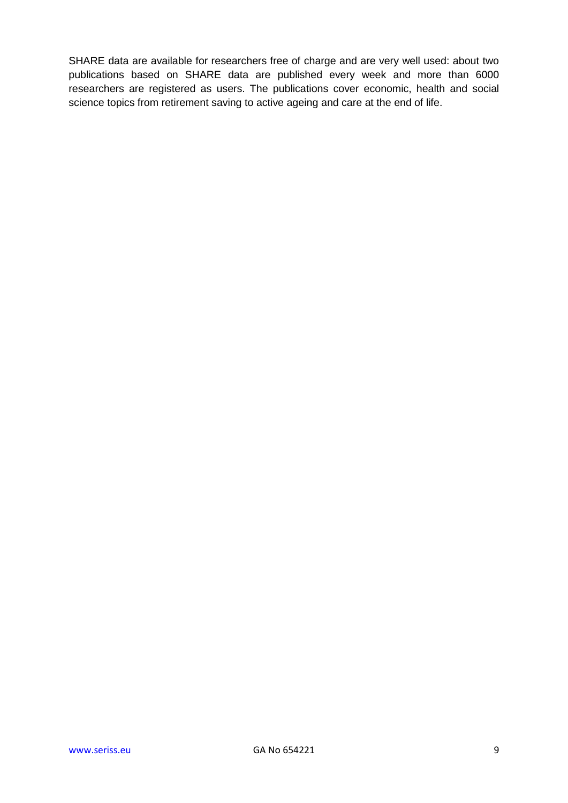SHARE data are available for researchers free of charge and are very well used: about two publications based on SHARE data are published every week and more than 6000 researchers are registered as users. The publications cover economic, health and social science topics from retirement saving to active ageing and care at the end of life.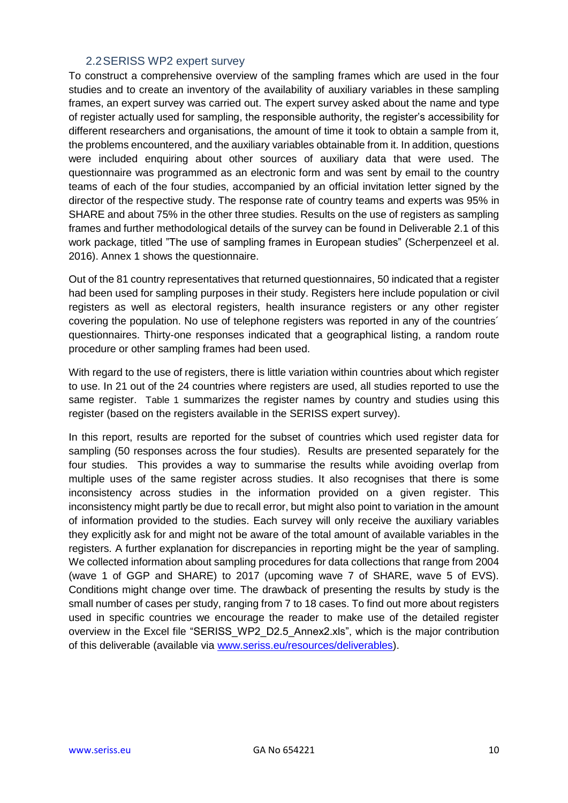### 2.2SERISS WP2 expert survey

<span id="page-9-0"></span>To construct a comprehensive overview of the sampling frames which are used in the four studies and to create an inventory of the availability of auxiliary variables in these sampling frames, an expert survey was carried out. The expert survey asked about the name and type of register actually used for sampling, the responsible authority, the register's accessibility for different researchers and organisations, the amount of time it took to obtain a sample from it, the problems encountered, and the auxiliary variables obtainable from it. In addition, questions were included enquiring about other sources of auxiliary data that were used. The questionnaire was programmed as an electronic form and was sent by email to the country teams of each of the four studies, accompanied by an official invitation letter signed by the director of the respective study. The response rate of country teams and experts was 95% in SHARE and about 75% in the other three studies. Results on the use of registers as sampling frames and further methodological details of the survey can be found in Deliverable 2.1 of this work package, titled "The use of sampling frames in European studies" (Scherpenzeel et al. 2016). Annex 1 shows the questionnaire.

Out of the 81 country representatives that returned questionnaires, 50 indicated that a register had been used for sampling purposes in their study. Registers here include population or civil registers as well as electoral registers, health insurance registers or any other register covering the population. No use of telephone registers was reported in any of the countries´ questionnaires. Thirty-one responses indicated that a geographical listing, a random route procedure or other sampling frames had been used.

With regard to the use of registers, there is little variation within countries about which register to use. In 21 out of the 24 countries where registers are used, all studies reported to use the same register. [Table 1](#page-10-1) summarizes the register names by country and studies using this register (based on the registers available in the SERISS expert survey).

In this report, results are reported for the subset of countries which used register data for sampling (50 responses across the four studies). Results are presented separately for the four studies. This provides a way to summarise the results while avoiding overlap from multiple uses of the same register across studies. It also recognises that there is some inconsistency across studies in the information provided on a given register. This inconsistency might partly be due to recall error, but might also point to variation in the amount of information provided to the studies. Each survey will only receive the auxiliary variables they explicitly ask for and might not be aware of the total amount of available variables in the registers. A further explanation for discrepancies in reporting might be the year of sampling. We collected information about sampling procedures for data collections that range from 2004 (wave 1 of GGP and SHARE) to 2017 (upcoming wave 7 of SHARE, wave 5 of EVS). Conditions might change over time. The drawback of presenting the results by study is the small number of cases per study, ranging from 7 to 18 cases. To find out more about registers used in specific countries we encourage the reader to make use of the detailed register overview in the Excel file "SERISS\_WP2\_D2.5\_Annex2.xls", which is the major contribution of this deliverable (available via [www.seriss.eu/resources/deliverables\)](http://www.seriss.eu/resources/deliverables).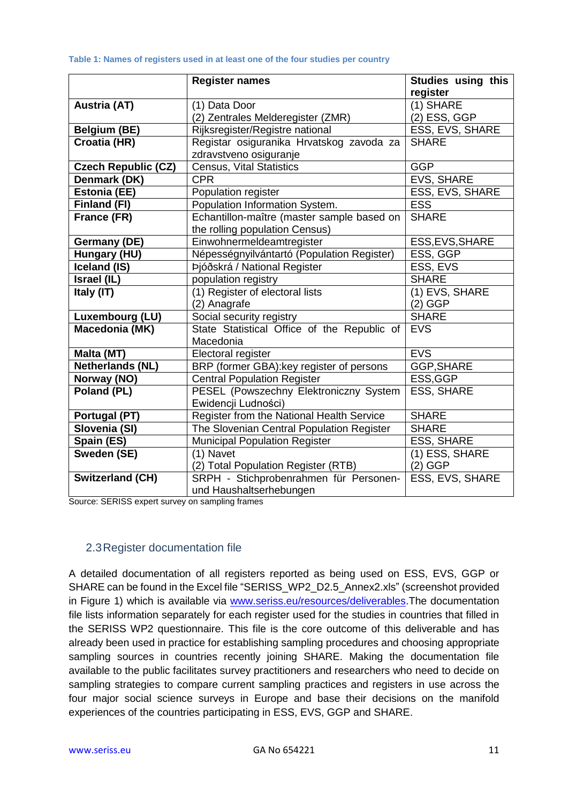#### <span id="page-10-1"></span>**Table 1: Names of registers used in at least one of the four studies per country**

|                            | <b>Register names</b>                                    | Studies using this<br>register |  |  |
|----------------------------|----------------------------------------------------------|--------------------------------|--|--|
| <b>Austria (AT)</b>        | (1) Data Door                                            | $\overline{(1)}$ SHARE         |  |  |
|                            | (2) Zentrales Melderegister (ZMR)                        | (2) ESS, GGP                   |  |  |
| <b>Belgium (BE)</b>        | Rijksregister/Registre national                          | ESS, EVS, SHARE                |  |  |
| Croatia (HR)               | Registar osiguranika Hrvatskog zavoda za                 | <b>SHARE</b>                   |  |  |
|                            | zdravstveno osiguranje                                   |                                |  |  |
| <b>Czech Republic (CZ)</b> | <b>Census, Vital Statistics</b>                          | <b>GGP</b>                     |  |  |
| Denmark (DK)               | <b>CPR</b>                                               | EVS, SHARE                     |  |  |
| <b>Estonia (EE)</b>        | Population register                                      | ESS, EVS, SHARE                |  |  |
| Finland (FI)               | Population Information System.                           | <b>ESS</b>                     |  |  |
| France (FR)                | Echantillon-maître (master sample based on               | <b>SHARE</b>                   |  |  |
|                            | the rolling population Census)                           |                                |  |  |
| <b>Germany (DE)</b>        | Einwohnermeldeamtregister                                | ESS, EVS, SHARE                |  |  |
| Hungary (HU)               | Népességnyilvántartó (Population Register)<br>ESS, GGP   |                                |  |  |
| Iceland (IS)               | Þjóðskrá / National Register                             | ESS, EVS                       |  |  |
| Israel (IL)                | population registry                                      | <b>SHARE</b>                   |  |  |
| Italy (IT)                 | (1) Register of electoral lists                          | (1) EVS, SHARE                 |  |  |
|                            | (2) Anagrafe                                             | (2) GGP                        |  |  |
| Luxembourg (LU)            | Social security registry                                 | <b>SHARE</b>                   |  |  |
| Macedonia (MK)             | State Statistical Office of the Republic of<br>Macedonia | <b>EVS</b>                     |  |  |
| <b>Malta (MT)</b>          | Electoral register                                       | <b>EVS</b>                     |  |  |
| <b>Netherlands (NL)</b>    | BRP (former GBA): key register of persons                | <b>GGP, SHARE</b>              |  |  |
| Norway (NO)                | <b>Central Population Register</b>                       | ESS, GGP                       |  |  |
| Poland (PL)                | PESEL (Powszechny Elektroniczny System                   | <b>ESS, SHARE</b>              |  |  |
|                            | Ewidencji Ludności)                                      |                                |  |  |
| Portugal (PT)              | Register from the National Health Service                | <b>SHARE</b>                   |  |  |
| Slovenia (SI)              | The Slovenian Central Population Register                | <b>SHARE</b>                   |  |  |
| Spain (ES)                 | <b>Municipal Population Register</b>                     | <b>ESS, SHARE</b>              |  |  |
| Sweden (SE)                | (1) Navet                                                | (1) ESS, SHARE                 |  |  |
|                            | (2) Total Population Register (RTB)                      | (2) GGP                        |  |  |
| <b>Switzerland (CH)</b>    | SRPH - Stichprobenrahmen für Personen-                   | ESS, EVS, SHARE                |  |  |
|                            | und Haushaltserhebungen                                  |                                |  |  |

Source: SERISS expert survey on sampling frames

# <span id="page-10-0"></span>2.3Register documentation file

A detailed documentation of all registers reported as being used on ESS, EVS, GGP or SHARE can be found in the Excel file "SERISS\_WP2\_D2.5\_Annex2.xls" (screenshot provided in [Figure 1\)](#page-11-0) which is available via [www.seriss.eu/resources/deliverables.](http://www.seriss.eu/resources/deliverables)The documentation file lists information separately for each register used for the studies in countries that filled in the SERISS WP2 questionnaire. This file is the core outcome of this deliverable and has already been used in practice for establishing sampling procedures and choosing appropriate sampling sources in countries recently joining SHARE. Making the documentation file available to the public facilitates survey practitioners and researchers who need to decide on sampling strategies to compare current sampling practices and registers in use across the four major social science surveys in Europe and base their decisions on the manifold experiences of the countries participating in ESS, EVS, GGP and SHARE.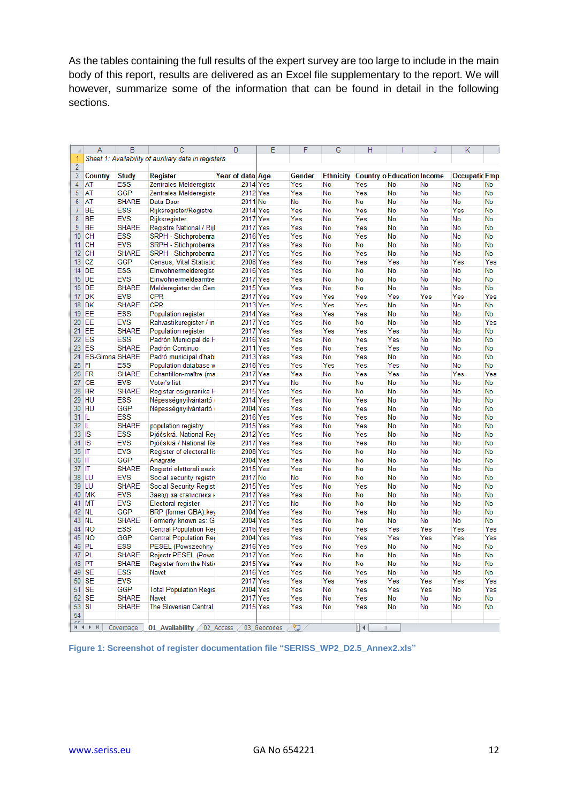As the tables containing the full results of the expert survey are too large to include in the main body of this report, results are delivered as an Excel file supplementary to the report. We will however, summarize some of the information that can be found in detail in the following sections.

|                 | A                      | B            | Ċ                                                    | D                | E           | F      | G                | H         |                                   | J   | Κ                    |     |
|-----------------|------------------------|--------------|------------------------------------------------------|------------------|-------------|--------|------------------|-----------|-----------------------------------|-----|----------------------|-----|
| 1               |                        |              | Sheet 1: Availability of auxiliary data in registers |                  |             |        |                  |           |                                   |     |                      |     |
| 2               |                        |              |                                                      |                  |             |        |                  |           |                                   |     |                      |     |
| 3               | Country                | <b>Study</b> | Register                                             | Year of data∣Age |             | Gender | <b>Ethnicity</b> |           | <b>Country o Education Income</b> |     | <b>Occupatic Emp</b> |     |
| 4               | AT                     | <b>ESS</b>   | Zentrales Melderegiste                               | 2014 Yes         |             | Yes    | No               | Yes       | No                                | No  | No                   | No  |
| 5               | AT                     | <b>GGP</b>   | Zentrales Melderegiste                               | 2012 Yes         |             | Yes    | No               | Yes       | No                                | No  | No                   | No  |
| 6               | AT                     | <b>SHARE</b> | Data Door                                            | 2011 No          |             | No     | No               | No        | No                                | No  | No                   | No  |
| 7               | BE                     | <b>ESS</b>   | Rijksregister/Registre                               | 2014 Yes         |             | Yes    | No               | Yes       | No                                | No  | Yes                  | No  |
| 8               | BЕ                     | <b>EVS</b>   | Rijksregister                                        | 2017 Yes         |             | Yes    | No               | Yes       | No                                | No  | No                   | No  |
| 9               | BЕ                     | <b>SHARE</b> | Registre National / Rijl                             | 2017 Yes         |             | Yes    | No               | Yes       | No                                | No  | No                   | No  |
| 10              | <b>CH</b>              | <b>ESS</b>   | SRPH - Stichprobenra                                 | 2016 Yes         |             | Yes    | No               | Yes       | No                                | No  | No                   | No  |
| 11              | CН                     | <b>EVS</b>   | SRPH - Stichprobenra                                 | 2017 Yes         |             | Yes    | No               | No        | No                                | No  | No                   | No  |
|                 | 12 CH                  | <b>SHARE</b> | SRPH - Stichprobenra                                 | 2017 Yes         |             | Yes    | No               | Yes       | No                                | No  | No                   | No  |
| 13.             | CZ                     | <b>GGP</b>   | <b>Census, Vital Statistic</b>                       | 2008 Yes         |             | Yes    | No               | Yes       | Yes                               | No  | Yes                  | Yes |
| 14              | DE                     | <b>ESS</b>   | Einwohnermelderegist                                 | 2016 Yes         |             | Yes    | No               | No        | No                                | No  | No                   | No  |
|                 | 15 DE                  | <b>EVS</b>   | Einwohnermeldeamtre                                  | 2017 Yes         |             | Yes    | No               | No        | No                                | No  | No                   | No  |
|                 | 16 DE                  | <b>SHARE</b> | Melderegister der Gen                                | 2015 Yes         |             | Yes    | No               | No        | No                                | No  | No                   | No  |
| 17              | DK                     | <b>EVS</b>   | CPR                                                  | 2017 Yes         |             | Yes    | Yes              | Yes       | Yes                               | Yes | Yes                  | Yes |
|                 | 18 DK                  | <b>SHARE</b> | <b>CPR</b>                                           | 2013 Yes         |             | Yes    | Yes              | Yes       | No                                | No  | No                   | No  |
|                 | 19 EE                  | <b>ESS</b>   | Population register                                  | 2014 Yes         |             | Yes    | Yes              | Yes       | No                                | No  | No                   | No  |
|                 | 20 EE                  | <b>EVS</b>   | Rahvastikuregister / in                              | 2017 Yes         |             | Yes    | No               | No        | No                                | No  | No                   | Yes |
| 21              | EЕ                     | <b>SHARE</b> | <b>Population register</b>                           | 2017 Yes         |             | Yes    | Yes              | Yes       | Yes                               | No  | No                   | No  |
|                 | 22 ES                  | <b>ESS</b>   | Padrón Municipal de H                                | 2016 Yes         |             | Yes    | No               | Yes       | Yes                               | No  | No                   | No  |
|                 | 23 ES                  | <b>SHARE</b> | Padrón Continuo                                      | 2011 Yes         |             | Yes    | No               | Yes       | Yes                               | No  | No                   | No  |
| 24              | <b>ES-Girona SHARE</b> |              | Padró municipal d'hab                                | 2013 Yes         |             | Yes    | No               | Yes       | No                                | No  | No                   | No  |
| 25 FI           |                        | <b>ESS</b>   | Population database w                                | 2016 Yes         |             | Yes    | Yes              | Yes       | Yes                               | No  | No                   | No  |
|                 | 26 FR                  | <b>SHARE</b> | Echantillon-maître (ma                               | 2017 Yes         |             | Yes    | No               | Yes       | Yes                               | No  | Yes                  | Yes |
| 27.             | GE                     | <b>EVS</b>   | Voter's list                                         | 2017 Yes         |             | No     | No               | No        | No                                | No  | No                   | No  |
|                 | 28 HR                  | <b>SHARE</b> | Registar osiguranika H                               | 2015 Yes         |             | Yes    | No               | No        | No                                | No  | No                   | No  |
|                 | 29 HU                  | <b>ESS</b>   | Népességnyilvántartó                                 | 2014 Yes         |             | Yes    | No               | Yes       | No                                | No  | No                   | No  |
|                 | 30 HU                  | <b>GGP</b>   | Népességnyilvántartó                                 | 2004 Yes         |             | Yes    | No               | Yes       | No                                | No  | No                   | No  |
| 31 IL           |                        | <b>ESS</b>   |                                                      | 2016 Yes         |             | Yes    | No               | Yes       | No                                | No  | No                   | No  |
| 32 IL           |                        | <b>SHARE</b> | population registry                                  | 2015 Yes         |             | Yes    | No               | Yes       | No                                | No  | No                   | No  |
| 33 IS           |                        | <b>ESS</b>   | Þjóðskrá. National Re(                               | 2012 Yes         |             | Yes    | No               | Yes       | No                                | No  | No                   | No  |
| 34 IS           |                        | <b>EVS</b>   | Þjóðskrá / National Re                               | 2017 Yes         |             | Yes    | No               | Yes       | No                                | No  | No                   | No  |
| 35 IT           |                        | <b>EVS</b>   | Register of electoral lis                            | 2008 Yes         |             | Yes    | No               | No        | No                                | No  | No                   | No  |
| 36 IT           |                        | <b>GGP</b>   | Anagrafe                                             | 2004 Yes         |             | Yes    | No               | No        | No                                | No  | No                   | No  |
| 37 IT           |                        | <b>SHARE</b> | Registri elettorali sezio                            | 2015 Yes         |             | Yes    | No               | No        | No                                | No  | No                   | No  |
|                 | 38 LU                  | <b>EVS</b>   | Social security registr                              | 2017 No          |             | No     | No               | No        | No                                | No  | No                   | No  |
|                 | 39 ILU                 | <b>SHARE</b> | Social Security Regist                               | 2015 Yes         |             | Yes    | No               | Yes       | No                                | No  | No                   | No  |
|                 | 40 MK                  | <b>EVS</b>   | Завод за статистика н                                | 2017 Yes         |             | Yes    | No               | No        | No                                | No  | No                   | No  |
|                 | 41 MT                  | <b>EVS</b>   | Electoral register                                   | 2017 Yes         |             | No     | No               | No        | No                                | No  | No                   | No  |
|                 | 42 NL                  | <b>GGP</b>   | BRP (former GBA):key                                 | 2004 Yes         |             | Yes    | No               | Yes       | No                                | No  | No                   | No  |
|                 | 43 NL                  | <b>SHARE</b> | Formerly known as: G                                 | 2004 Yes         |             | Yes    | No               | No        | No                                | No  | No                   | No  |
|                 | 44 NO                  | <b>ESS</b>   | Central Population Reg                               | 2016 Yes         |             | Yes    | No               | Yes       | Yes                               | Yes | Yes                  | Yes |
|                 | 45 NO                  | <b>GGP</b>   | Central Population Reg                               | 2004 Yes         |             | Yes    | No               | Yes       | Yes                               | Yes | Yes                  | Yes |
| 46              | <b>PL</b>              | <b>ESS</b>   | PESEL (Powszechny                                    | 2016 Yes         |             | Yes    | No               | Yes       | No                                | No  | No                   | No  |
|                 | 47 PL                  | <b>SHARE</b> | Rejestr PESEL (Pows                                  | 2017 Yes         |             | Yes    | No               | No        | No                                | No  | No                   | No  |
|                 | 48 PT                  | <b>SHARE</b> | Register from the Natio                              | 2015 Yes         |             | Yes    | No               | No        | No                                | No  | No                   | No  |
|                 | 49 SE                  | <b>ESS</b>   | Navet                                                | 2016 Yes         |             | Yes    | No               | Yes       | No                                | No  | No                   | No  |
| 50 <sup>1</sup> | <b>SE</b>              | <b>EVS</b>   |                                                      | 2017 Yes         |             | Yes    | Yes              | Yes       | Yes                               | Yes | Yes                  | Yes |
| 51.             | <b>SE</b>              | <b>GGP</b>   | <b>Total Population Regis</b>                        | 2004 Yes         |             | Yes    | No               | Yes       | Yes                               | Yes | No                   | Yes |
| 52 <sub>2</sub> | <b>SE</b>              | <b>SHARE</b> | Navet                                                | 2017 Yes         |             | Yes    | No               | Yes       | No                                | No  | No                   | No  |
| 53 <sup>1</sup> | SI                     | <b>SHARE</b> | <b>The Slovenian Central</b>                         | 2015 Yes         |             | Yes    | No               | Yes       | No                                | No  | No                   | No  |
| 54              |                        |              |                                                      |                  |             |        |                  |           |                                   |     |                      |     |
|                 |                        |              |                                                      |                  |             |        |                  |           |                                   |     |                      |     |
|                 | $M \rightarrow N$      | Covernage    | 01 Availahility                                      | 02 Access        | 03 Geocodes | ŶΠ     |                  | 6 4 I<br> |                                   |     |                      |     |

<span id="page-11-0"></span>**Figure 1: Screenshot of register documentation file "SERISS\_WP2\_D2.5\_Annex2.xls"**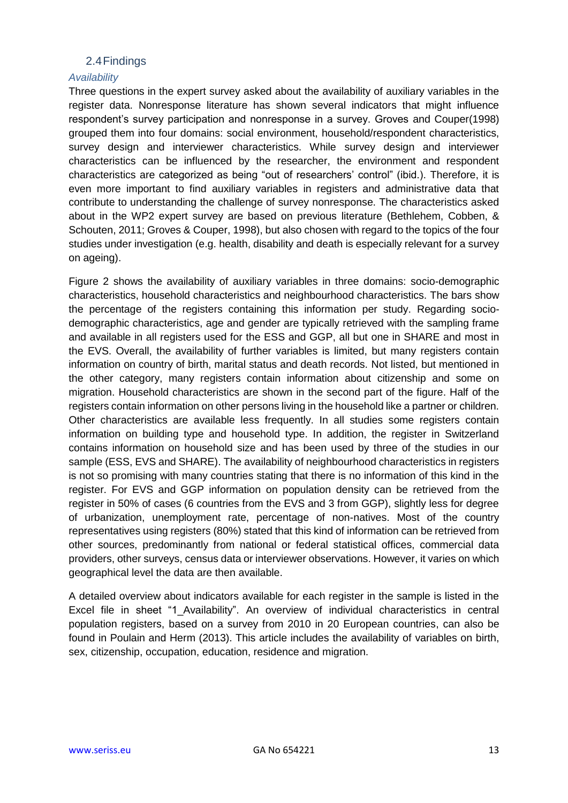### 2.4Findings

#### <span id="page-12-1"></span><span id="page-12-0"></span>*Availability*

Three questions in the expert survey asked about the availability of auxiliary variables in the register data. Nonresponse literature has shown several indicators that might influence respondent's survey participation and nonresponse in a survey. Groves and Couper[\(1998\)](#page-23-10) grouped them into four domains: social environment, household/respondent characteristics, survey design and interviewer characteristics. While survey design and interviewer characteristics can be influenced by the researcher, the environment and respondent characteristics are categorized as being "out of researchers' control" (ibid.). Therefore, it is even more important to find auxiliary variables in registers and administrative data that contribute to understanding the challenge of survey nonresponse. The characteristics asked about in the WP2 expert survey are based on previous literature [\(Bethlehem, Cobben, &](#page-23-11)  [Schouten, 2011;](#page-23-11) [Groves & Couper, 1998\)](#page-23-10), but also chosen with regard to the topics of the four studies under investigation (e.g. health, disability and death is especially relevant for a survey on ageing).

[Figure 2](#page-13-0) shows the availability of auxiliary variables in three domains: socio-demographic characteristics, household characteristics and neighbourhood characteristics. The bars show the percentage of the registers containing this information per study. Regarding sociodemographic characteristics, age and gender are typically retrieved with the sampling frame and available in all registers used for the ESS and GGP, all but one in SHARE and most in the EVS. Overall, the availability of further variables is limited, but many registers contain information on country of birth, marital status and death records. Not listed, but mentioned in the other category, many registers contain information about citizenship and some on migration. Household characteristics are shown in the second part of the figure. Half of the registers contain information on other persons living in the household like a partner or children. Other characteristics are available less frequently. In all studies some registers contain information on building type and household type. In addition, the register in Switzerland contains information on household size and has been used by three of the studies in our sample (ESS, EVS and SHARE). The availability of neighbourhood characteristics in registers is not so promising with many countries stating that there is no information of this kind in the register. For EVS and GGP information on population density can be retrieved from the register in 50% of cases (6 countries from the EVS and 3 from GGP), slightly less for degree of urbanization, unemployment rate, percentage of non-natives. Most of the country representatives using registers (80%) stated that this kind of information can be retrieved from other sources, predominantly from national or federal statistical offices, commercial data providers, other surveys, census data or interviewer observations. However, it varies on which geographical level the data are then available.

A detailed overview about indicators available for each register in the sample is listed in the Excel file in sheet "1 Availability". An overview of individual characteristics in central population registers, based on a survey from 2010 in 20 European countries, can also be found in Poulain and Herm (2013). This article includes the availability of variables on birth, sex, citizenship, occupation, education, residence and migration.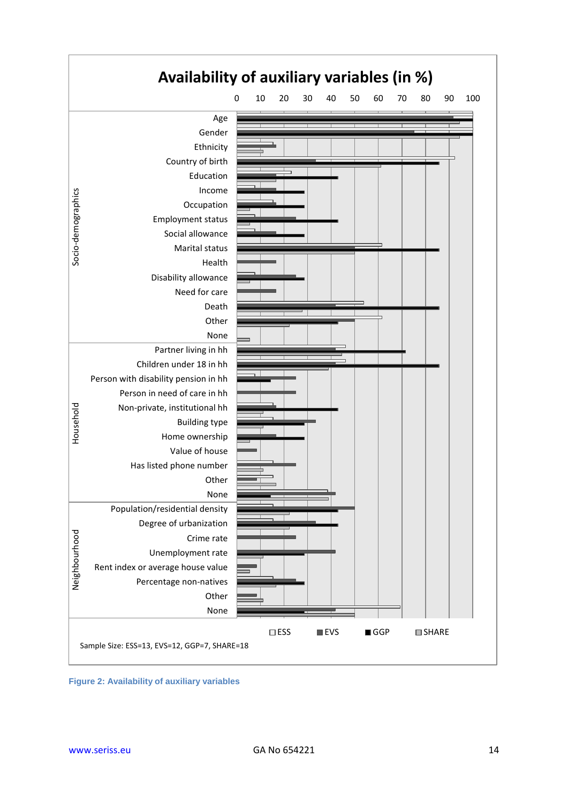

<span id="page-13-0"></span>**Figure 2: Availability of auxiliary variables**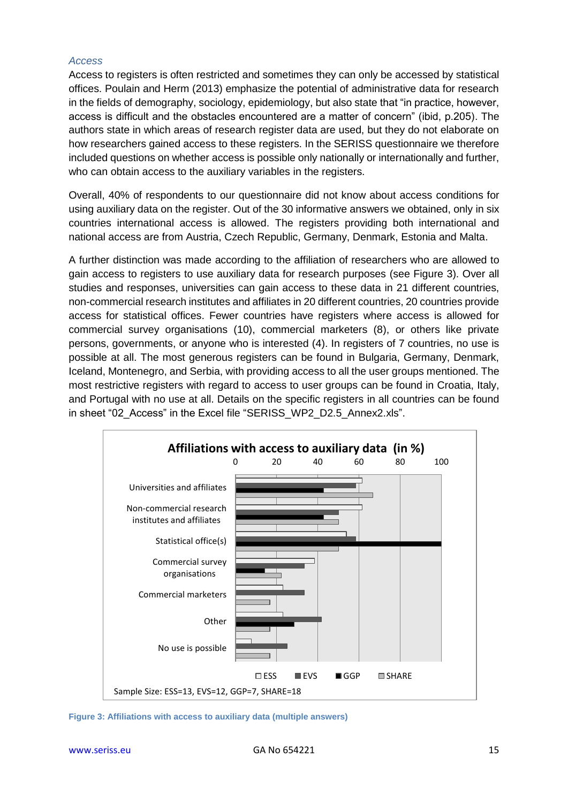#### <span id="page-14-0"></span>*Access*

Access to registers is often restricted and sometimes they can only be accessed by statistical offices. Poulain and Herm (2013) emphasize the potential of administrative data for research in the fields of demography, sociology, epidemiology, but also state that "in practice, however, access is difficult and the obstacles encountered are a matter of concern" (ibid, p.205). The authors state in which areas of research register data are used, but they do not elaborate on how researchers gained access to these registers. In the SERISS questionnaire we therefore included questions on whether access is possible only nationally or internationally and further, who can obtain access to the auxiliary variables in the registers.

Overall, 40% of respondents to our questionnaire did not know about access conditions for using auxiliary data on the register. Out of the 30 informative answers we obtained, only in six countries international access is allowed. The registers providing both international and national access are from Austria, Czech Republic, Germany, Denmark, Estonia and Malta.

A further distinction was made according to the affiliation of researchers who are allowed to gain access to registers to use auxiliary data for research purposes (see [Figure 3\)](#page-14-1). Over all studies and responses, universities can gain access to these data in 21 different countries, non-commercial research institutes and affiliates in 20 different countries, 20 countries provide access for statistical offices. Fewer countries have registers where access is allowed for commercial survey organisations (10), commercial marketers (8), or others like private persons, governments, or anyone who is interested (4). In registers of 7 countries, no use is possible at all. The most generous registers can be found in Bulgaria, Germany, Denmark, Iceland, Montenegro, and Serbia, with providing access to all the user groups mentioned. The most restrictive registers with regard to access to user groups can be found in Croatia, Italy, and Portugal with no use at all. Details on the specific registers in all countries can be found in sheet "02 Access" in the Excel file "SERISS WP2 D2.5 Annex2.xls".



<span id="page-14-1"></span>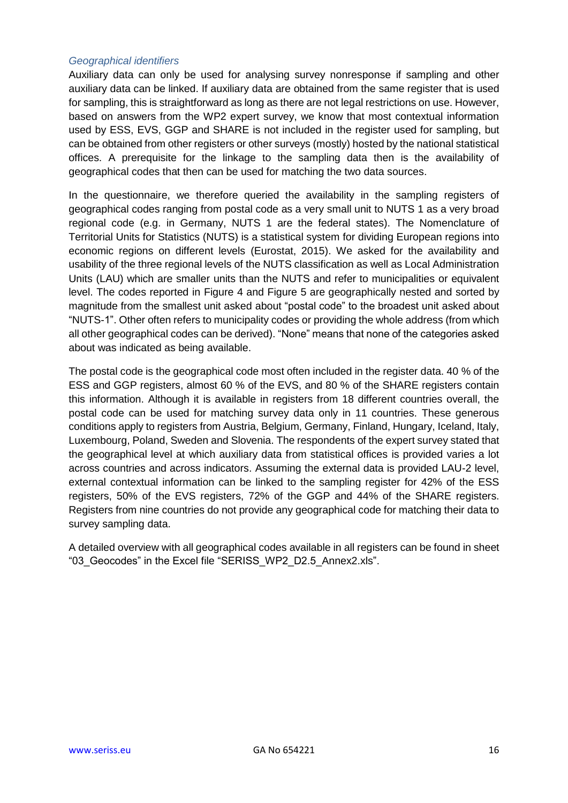### <span id="page-15-0"></span>*Geographical identifiers*

Auxiliary data can only be used for analysing survey nonresponse if sampling and other auxiliary data can be linked. If auxiliary data are obtained from the same register that is used for sampling, this is straightforward as long as there are not legal restrictions on use. However, based on answers from the WP2 expert survey, we know that most contextual information used by ESS, EVS, GGP and SHARE is not included in the register used for sampling, but can be obtained from other registers or other surveys (mostly) hosted by the national statistical offices. A prerequisite for the linkage to the sampling data then is the availability of geographical codes that then can be used for matching the two data sources.

In the questionnaire, we therefore queried the availability in the sampling registers of geographical codes ranging from postal code as a very small unit to NUTS 1 as a very broad regional code (e.g. in Germany, NUTS 1 are the federal states). The Nomenclature of Territorial Units for Statistics (NUTS) is a statistical system for dividing European regions into economic regions on different levels [\(Eurostat, 2015\)](#page-23-12). We asked for the availability and usability of the three regional levels of the NUTS classification as well as Local Administration Units (LAU) which are smaller units than the NUTS and refer to municipalities or equivalent level. The codes reported in [Figure 4](#page-16-0) and [Figure 5](#page-16-1) are geographically nested and sorted by magnitude from the smallest unit asked about "postal code" to the broadest unit asked about "NUTS-1". Other often refers to municipality codes or providing the whole address (from which all other geographical codes can be derived). "None" means that none of the categories asked about was indicated as being available.

The postal code is the geographical code most often included in the register data. 40 % of the ESS and GGP registers, almost 60 % of the EVS, and 80 % of the SHARE registers contain this information. Although it is available in registers from 18 different countries overall, the postal code can be used for matching survey data only in 11 countries. These generous conditions apply to registers from Austria, Belgium, Germany, Finland, Hungary, Iceland, Italy, Luxembourg, Poland, Sweden and Slovenia. The respondents of the expert survey stated that the geographical level at which auxiliary data from statistical offices is provided varies a lot across countries and across indicators. Assuming the external data is provided LAU-2 level, external contextual information can be linked to the sampling register for 42% of the ESS registers, 50% of the EVS registers, 72% of the GGP and 44% of the SHARE registers. Registers from nine countries do not provide any geographical code for matching their data to survey sampling data.

A detailed overview with all geographical codes available in all registers can be found in sheet "03\_Geocodes" in the Excel file "SERISS\_WP2\_D2.5\_Annex2.xls".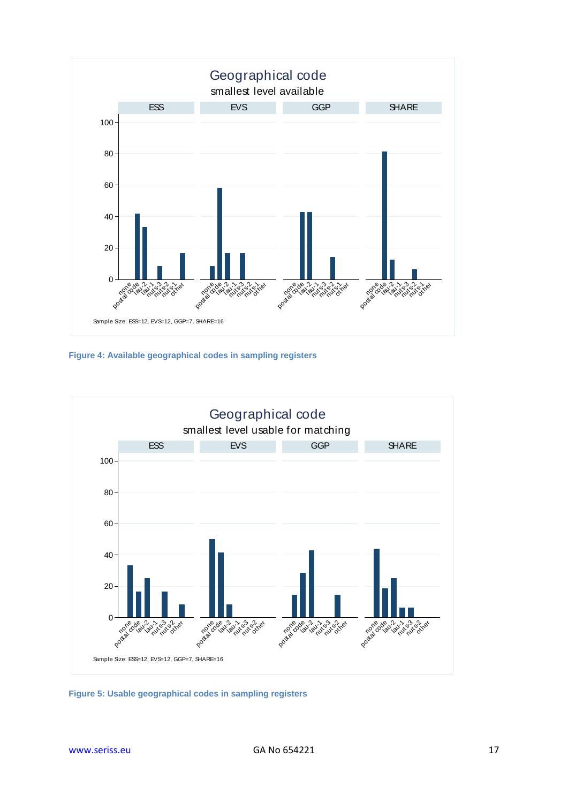

<span id="page-16-0"></span>**Figure 4: Available geographical codes in sampling registers**



<span id="page-16-1"></span>**Figure 5: Usable geographical codes in sampling registers**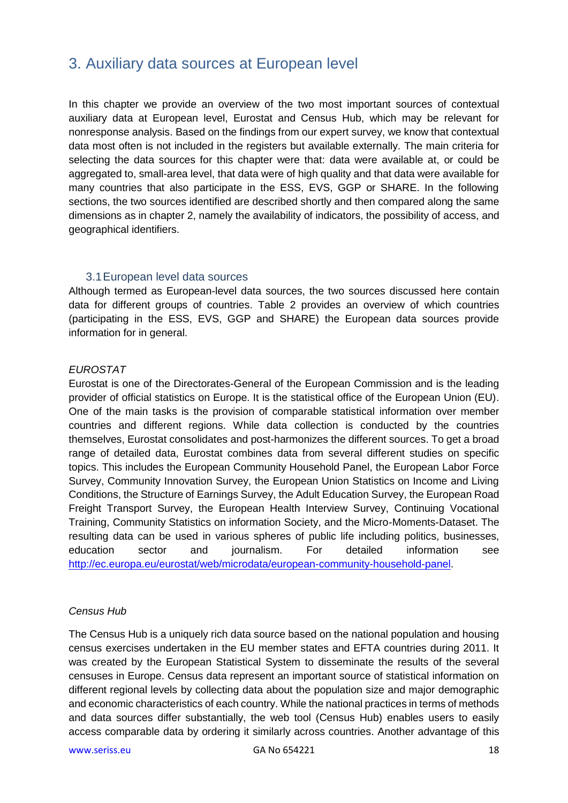# <span id="page-17-0"></span>3. Auxiliary data sources at European level

In this chapter we provide an overview of the two most important sources of contextual auxiliary data at European level, Eurostat and Census Hub, which may be relevant for nonresponse analysis. Based on the findings from our expert survey, we know that contextual data most often is not included in the registers but available externally. The main criteria for selecting the data sources for this chapter were that: data were available at, or could be aggregated to, small-area level, that data were of high quality and that data were available for many countries that also participate in the ESS, EVS, GGP or SHARE. In the following sections, the two sources identified are described shortly and then compared along the same dimensions as in chapter 2, namely the availability of indicators, the possibility of access, and geographical identifiers.

### 3.1European level data sources

<span id="page-17-1"></span>Although termed as European-level data sources, the two sources discussed here contain data for different groups of countries. [Table 2](#page-18-0) provides an overview of which countries (participating in the ESS, EVS, GGP and SHARE) the European data sources provide information for in general.

### *EUROSTAT*

Eurostat is one of the Directorates-General of the European Commission and is the leading provider of official statistics on Europe. It is the statistical office of the European Union (EU). One of the main tasks is the provision of comparable statistical information over member countries and different regions. While data collection is conducted by the countries themselves, Eurostat consolidates and post-harmonizes the different sources. To get a broad range of detailed data, Eurostat combines data from several different studies on specific topics. This includes the European Community Household Panel, the European Labor Force Survey, Community Innovation Survey, the European Union Statistics on Income and Living Conditions, the Structure of Earnings Survey, the Adult Education Survey, the European Road Freight Transport Survey, the European Health Interview Survey, Continuing Vocational Training, Community Statistics on information Society, and the Micro-Moments-Dataset. The resulting data can be used in various spheres of public life including politics, businesses, education sector and journalism. For detailed information see [http://ec.europa.eu/eurostat/web/microdata/european-community-household-panel.](http://ec.europa.eu/eurostat/web/microdata/european-community-household-panel)

#### *Census Hub*

The Census Hub is a uniquely rich data source based on the national population and housing census exercises undertaken in the EU member states and EFTA countries during 2011. It was created by the European Statistical System to disseminate the results of the several censuses in Europe. Census data represent an important source of statistical information on different regional levels by collecting data about the population size and major demographic and economic characteristics of each country. While the national practices in terms of methods and data sources differ substantially, the web tool (Census Hub) enables users to easily access comparable data by ordering it similarly across countries. Another advantage of this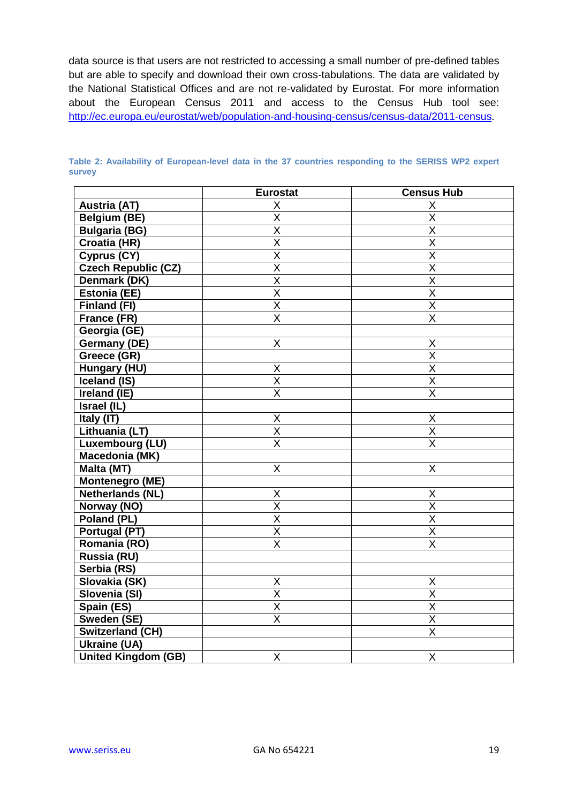data source is that users are not restricted to accessing a small number of pre-defined tables but are able to specify and download their own cross-tabulations. The data are validated by the National Statistical Offices and are not re-validated by Eurostat. For more information about the European Census 2011 and access to the Census Hub tool see: [http://ec.europa.eu/eurostat/web/population-and-housing-census/census-data/2011-census.](http://ec.europa.eu/eurostat/web/population-and-housing-census/census-data/2011-census)

|                            | <b>Eurostat</b>         | <b>Census Hub</b>       |
|----------------------------|-------------------------|-------------------------|
| <b>Austria (AT)</b>        | Χ                       | X                       |
| <b>Belgium (BE)</b>        | X                       | $\overline{X}$          |
| <b>Bulgaria (BG)</b>       | X                       | $\overline{\mathsf{X}}$ |
| Croatia (HR)               | X                       | $\sf X$                 |
| Cyprus (CY)                | X                       | X                       |
| <b>Czech Republic (CZ)</b> | $\overline{\mathsf{X}}$ | $\overline{\mathsf{X}}$ |
| Denmark (DK)               | X                       | X                       |
| <b>Estonia (EE)</b>        | X                       | $\sf X$                 |
| Finland (FI)               | $\overline{\sf x}$      | $\overline{\mathsf{x}}$ |
| France (FR)                | X                       | X                       |
| Georgia (GE)               |                         |                         |
| <b>Germany (DE)</b>        | X                       | X                       |
| Greece (GR)                |                         | $\overline{\mathsf{x}}$ |
| Hungary (HU)               | Χ                       | $\overline{\mathsf{x}}$ |
| Iceland (IS)               | $\overline{\mathsf{x}}$ | $\overline{X}$          |
| Ireland (IE)               | $\overline{\mathsf{x}}$ | $\overline{\mathsf{x}}$ |
| Israel (IL)                |                         |                         |
| Italy (IT)                 | Χ                       | X                       |
| Lithuania (LT)             | X                       | $\overline{X}$          |
| Luxembourg (LU)            | $\overline{\sf x}$      | $\overline{\mathsf{x}}$ |
| Macedonia (MK)             |                         |                         |
| Malta (MT)                 | Χ                       | X                       |
| <b>Montenegro (ME)</b>     |                         |                         |
| <b>Netherlands (NL)</b>    | Χ                       | X                       |
| Norway (NO)                | $\overline{\mathsf{X}}$ | $\overline{\mathsf{x}}$ |
| Poland (PL)                | $\overline{\mathsf{x}}$ | $\overline{\mathsf{x}}$ |
| Portugal (PT)              | $\overline{\mathsf{x}}$ | $\overline{\mathsf{x}}$ |
| Romania (RO)               | $\overline{\mathsf{x}}$ | $\overline{\mathsf{X}}$ |
| Russia (RU)                |                         |                         |
| Serbia (RS)                |                         |                         |
| Slovakia (SK)              | Χ                       | X                       |
| Slovenia (SI)              | $\overline{\mathsf{X}}$ | $\overline{X}$          |
| Spain (ES)                 | $\overline{\mathsf{X}}$ | $\overline{\mathsf{X}}$ |
| Sweden (SE)                | X                       | $\mathsf X$             |
| Switzerland (CH)           |                         | $\sf X$                 |
| <b>Ukraine (UA)</b>        |                         |                         |
| <b>United Kingdom (GB)</b> | X                       | $\mathsf X$             |

<span id="page-18-0"></span>**Table 2: Availability of European-level data in the 37 countries responding to the SERISS WP2 expert survey**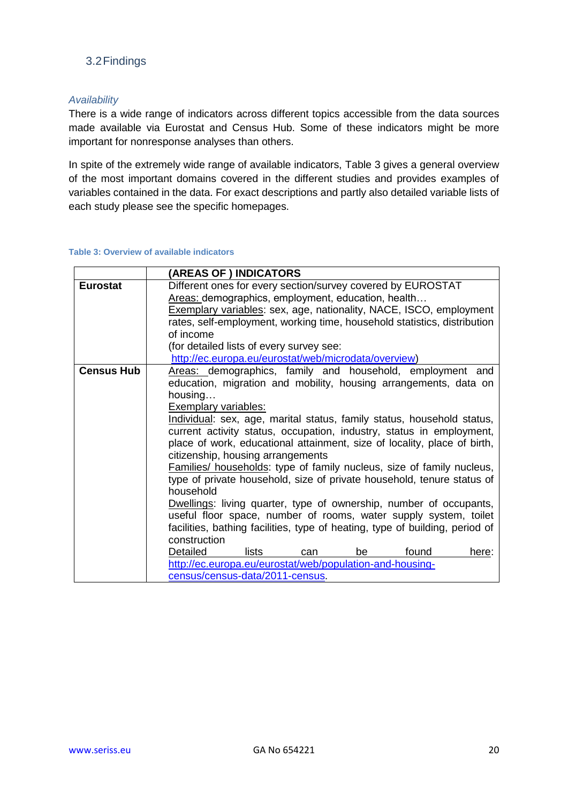# <span id="page-19-0"></span>3.2Findings

### <span id="page-19-1"></span>*Availability*

There is a wide range of indicators across different topics accessible from the data sources made available via Eurostat and Census Hub. Some of these indicators might be more important for nonresponse analyses than others.

In spite of the extremely wide range of available indicators, [Table 3](#page-19-2) gives a general overview of the most important domains covered in the different studies and provides examples of variables contained in the data. For exact descriptions and partly also detailed variable lists of each study please see the specific homepages.

#### <span id="page-19-2"></span>**Table 3: Overview of available indicators**

|                   | (AREAS OF) INDICATORS                                                                                                                                                                                                                                                                                                                                                                                                                                                                                                                                                                                                                                                   |  |  |  |
|-------------------|-------------------------------------------------------------------------------------------------------------------------------------------------------------------------------------------------------------------------------------------------------------------------------------------------------------------------------------------------------------------------------------------------------------------------------------------------------------------------------------------------------------------------------------------------------------------------------------------------------------------------------------------------------------------------|--|--|--|
| <b>Eurostat</b>   | Different ones for every section/survey covered by EUROSTAT<br>Areas: demographics, employment, education, health                                                                                                                                                                                                                                                                                                                                                                                                                                                                                                                                                       |  |  |  |
|                   | <b>Exemplary variables: sex, age, nationality, NACE, ISCO, employment</b>                                                                                                                                                                                                                                                                                                                                                                                                                                                                                                                                                                                               |  |  |  |
|                   | rates, self-employment, working time, household statistics, distribution                                                                                                                                                                                                                                                                                                                                                                                                                                                                                                                                                                                                |  |  |  |
|                   | of income                                                                                                                                                                                                                                                                                                                                                                                                                                                                                                                                                                                                                                                               |  |  |  |
|                   | (for detailed lists of every survey see:                                                                                                                                                                                                                                                                                                                                                                                                                                                                                                                                                                                                                                |  |  |  |
|                   | http://ec.europa.eu/eurostat/web/microdata/overview)                                                                                                                                                                                                                                                                                                                                                                                                                                                                                                                                                                                                                    |  |  |  |
| <b>Census Hub</b> | Areas: demographics, family and household, employment and<br>education, migration and mobility, housing arrangements, data on<br>housing                                                                                                                                                                                                                                                                                                                                                                                                                                                                                                                                |  |  |  |
|                   | Exemplary variables:                                                                                                                                                                                                                                                                                                                                                                                                                                                                                                                                                                                                                                                    |  |  |  |
|                   | Individual: sex, age, marital status, family status, household status,<br>current activity status, occupation, industry, status in employment,<br>place of work, educational attainment, size of locality, place of birth,<br>citizenship, housing arrangements<br><b>Families/ households:</b> type of family nucleus, size of family nucleus,<br>type of private household, size of private household, tenure status of<br>household<br><b>Dwellings:</b> living quarter, type of ownership, number of occupants,<br>useful floor space, number of rooms, water supply system, toilet<br>facilities, bathing facilities, type of heating, type of building, period of |  |  |  |
|                   | construction<br>Detailed<br>found<br>lists<br>here:<br>can<br>be                                                                                                                                                                                                                                                                                                                                                                                                                                                                                                                                                                                                        |  |  |  |
|                   | http://ec.europa.eu/eurostat/web/population-and-housing-                                                                                                                                                                                                                                                                                                                                                                                                                                                                                                                                                                                                                |  |  |  |
|                   | census/census-data/2011-census.                                                                                                                                                                                                                                                                                                                                                                                                                                                                                                                                                                                                                                         |  |  |  |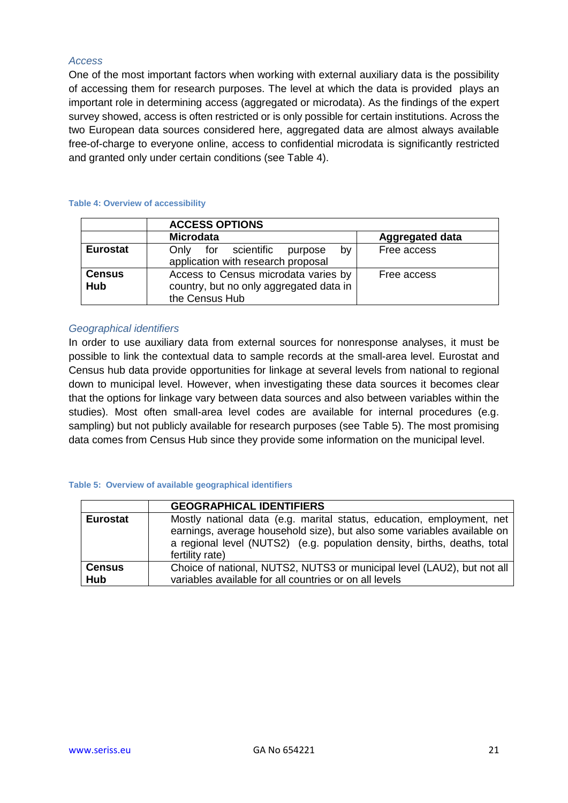### <span id="page-20-0"></span>*Access*

One of the most important factors when working with external auxiliary data is the possibility of accessing them for research purposes. The level at which the data is provided plays an important role in determining access (aggregated or microdata). As the findings of the expert survey showed, access is often restricted or is only possible for certain institutions. Across the two European data sources considered here, aggregated data are almost always available free-of-charge to everyone online, access to confidential microdata is significantly restricted and granted only under certain conditions (see [Table 4\)](#page-20-2).

#### <span id="page-20-2"></span>**Table 4: Overview of accessibility**

|                      | <b>ACCESS OPTIONS</b>                                                                                            |                        |  |
|----------------------|------------------------------------------------------------------------------------------------------------------|------------------------|--|
|                      | <b>Microdata</b>                                                                                                 | <b>Aggregated data</b> |  |
| <b>Eurostat</b>      | Only for scientific<br>bv<br>purpose<br>application with research proposal                                       | Free access            |  |
| <b>Census</b><br>Hub | Access to Census microdata varies by<br>Free access<br>country, but no only aggregated data in<br>the Census Hub |                        |  |

### <span id="page-20-1"></span>*Geographical identifiers*

In order to use auxiliary data from external sources for nonresponse analyses, it must be possible to link the contextual data to sample records at the small-area level. Eurostat and Census hub data provide opportunities for linkage at several levels from national to regional down to municipal level. However, when investigating these data sources it becomes clear that the options for linkage vary between data sources and also between variables within the studies). Most often small-area level codes are available for internal procedures (e.g. sampling) but not publicly available for research purposes (see [Table 5\)](#page-20-3). The most promising data comes from Census Hub since they provide some information on the municipal level.

#### <span id="page-20-3"></span>**Table 5: Overview of available geographical identifiers**

|                 | <b>GEOGRAPHICAL IDENTIFIERS</b>                                                                                                                                                                                                                 |  |  |
|-----------------|-------------------------------------------------------------------------------------------------------------------------------------------------------------------------------------------------------------------------------------------------|--|--|
| <b>Eurostat</b> | Mostly national data (e.g. marital status, education, employment, net<br>earnings, average household size), but also some variables available on<br>a regional level (NUTS2) (e.g. population density, births, deaths, total<br>fertility rate) |  |  |
| <b>Census</b>   | Choice of national, NUTS2, NUTS3 or municipal level (LAU2), but not all                                                                                                                                                                         |  |  |
| Hub             | variables available for all countries or on all levels                                                                                                                                                                                          |  |  |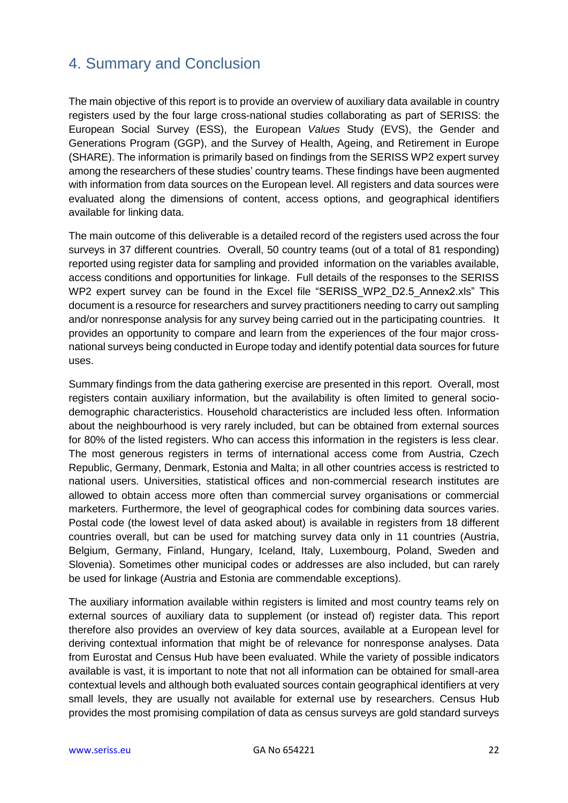# <span id="page-21-0"></span>4. Summary and Conclusion

The main objective of this report is to provide an overview of auxiliary data available in country registers used by the four large cross-national studies collaborating as part of SERISS: the European Social Survey (ESS), the European *Values* Study (EVS), the Gender and Generations Program (GGP), and the Survey of Health, Ageing, and Retirement in Europe (SHARE). The information is primarily based on findings from the SERISS WP2 expert survey among the researchers of these studies' country teams. These findings have been augmented with information from data sources on the European level. All registers and data sources were evaluated along the dimensions of content, access options, and geographical identifiers available for linking data.

The main outcome of this deliverable is a detailed record of the registers used across the four surveys in 37 different countries. Overall, 50 country teams (out of a total of 81 responding) reported using register data for sampling and provided information on the variables available, access conditions and opportunities for linkage. Full details of the responses to the SERISS WP2 expert survey can be found in the Excel file "SERISS WP2 D2.5 Annex2.xls" This document is a resource for researchers and survey practitioners needing to carry out sampling and/or nonresponse analysis for any survey being carried out in the participating countries. It provides an opportunity to compare and learn from the experiences of the four major crossnational surveys being conducted in Europe today and identify potential data sources for future uses.

Summary findings from the data gathering exercise are presented in this report. Overall, most registers contain auxiliary information, but the availability is often limited to general sociodemographic characteristics. Household characteristics are included less often. Information about the neighbourhood is very rarely included, but can be obtained from external sources for 80% of the listed registers. Who can access this information in the registers is less clear. The most generous registers in terms of international access come from Austria, Czech Republic, Germany, Denmark, Estonia and Malta; in all other countries access is restricted to national users. Universities, statistical offices and non-commercial research institutes are allowed to obtain access more often than commercial survey organisations or commercial marketers. Furthermore, the level of geographical codes for combining data sources varies. Postal code (the lowest level of data asked about) is available in registers from 18 different countries overall, but can be used for matching survey data only in 11 countries (Austria, Belgium, Germany, Finland, Hungary, Iceland, Italy, Luxembourg, Poland, Sweden and Slovenia). Sometimes other municipal codes or addresses are also included, but can rarely be used for linkage (Austria and Estonia are commendable exceptions).

The auxiliary information available within registers is limited and most country teams rely on external sources of auxiliary data to supplement (or instead of) register data. This report therefore also provides an overview of key data sources, available at a European level for deriving contextual information that might be of relevance for nonresponse analyses. Data from Eurostat and Census Hub have been evaluated. While the variety of possible indicators available is vast, it is important to note that not all information can be obtained for small-area contextual levels and although both evaluated sources contain geographical identifiers at very small levels, they are usually not available for external use by researchers. Census Hub provides the most promising compilation of data as census surveys are gold standard surveys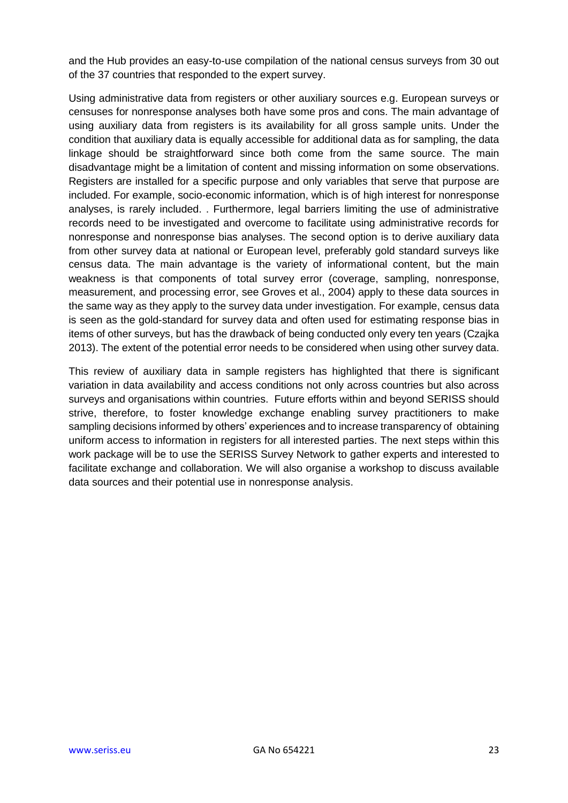and the Hub provides an easy-to-use compilation of the national census surveys from 30 out of the 37 countries that responded to the expert survey.

Using administrative data from registers or other auxiliary sources e.g. European surveys or censuses for nonresponse analyses both have some pros and cons. The main advantage of using auxiliary data from registers is its availability for all gross sample units. Under the condition that auxiliary data is equally accessible for additional data as for sampling, the data linkage should be straightforward since both come from the same source. The main disadvantage might be a limitation of content and missing information on some observations. Registers are installed for a specific purpose and only variables that serve that purpose are included. For example, socio-economic information, which is of high interest for nonresponse analyses, is rarely included. . Furthermore, legal barriers limiting the use of administrative records need to be investigated and overcome to facilitate using administrative records for nonresponse and nonresponse bias analyses. The second option is to derive auxiliary data from other survey data at national or European level, preferably gold standard surveys like census data. The main advantage is the variety of informational content, but the main weakness is that components of total survey error [\(coverage, sampling, nonresponse,](#page-23-13)  [measurement, and processing error, see Groves et al., 2004\)](#page-23-13) apply to these data sources in the same way as they apply to the survey data under investigation. For example, census data is seen as the gold-standard for survey data and often used for estimating response bias in items of other surveys, but has the drawback of being conducted only every ten years (Czajka 2013). The extent of the potential error needs to be considered when using other survey data.

This review of auxiliary data in sample registers has highlighted that there is significant variation in data availability and access conditions not only across countries but also across surveys and organisations within countries. Future efforts within and beyond SERISS should strive, therefore, to foster knowledge exchange enabling survey practitioners to make sampling decisions informed by others' experiences and to increase transparency of obtaining uniform access to information in registers for all interested parties. The next steps within this work package will be to use the SERISS Survey Network to gather experts and interested to facilitate exchange and collaboration. We will also organise a workshop to discuss available data sources and their potential use in nonresponse analysis.